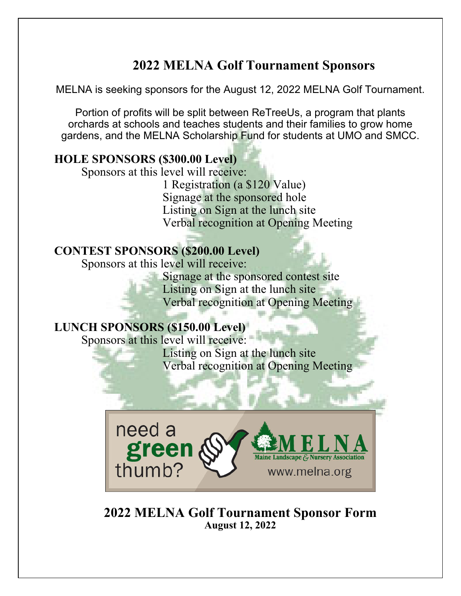## **2022 MELNA Golf Tournament Sponsors**

MELNA is seeking sponsors for the August 12, 2022 MELNA Golf Tournament.

Portion of profits will be split between ReTreeUs, a program that plants orchards at schools and teaches students and their families to grow home gardens, and the MELNA Scholarship Fund for students at UMO and SMCC.

## **HOLE SPONSORS (\$300.00 Level)**

Sponsors at this level will receive:

1 Registration (a \$120 Value) Signage at the sponsored hole Listing on Sign at the lunch site Verbal recognition at Opening Meeting

## **CONTEST SPONSORS (\$200.00 Level)**

Sponsors at this level will receive:

Signage at the sponsored contest site Listing on Sign at the lunch site Verbal recognition at Opening Meeting

## **LUNCH SPONSORS (\$150.00 Level)**

Sponsors at this level will receive:

Listing on Sign at the lunch site Verbal recognition at Opening Meeting



**2022 MELNA Golf Tournament Sponsor Form August 12, 2022**